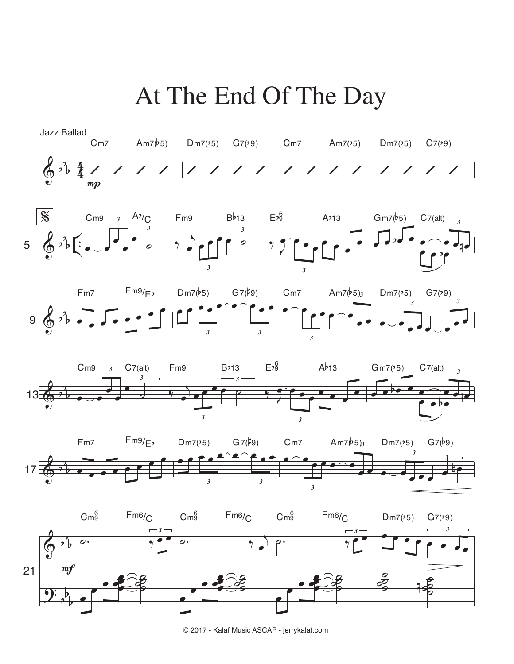## At The End Of The Day



© 2017 - Kalaf Music ASCAP - jerrykalaf.com